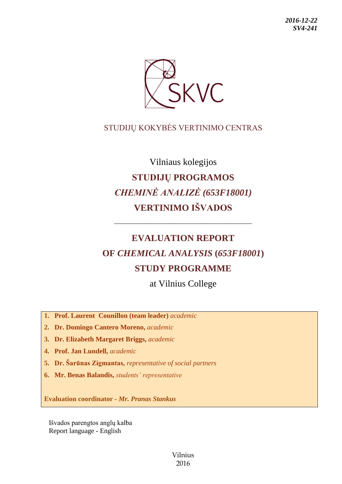

## STUDIJŲ KOKYBĖS VERTINIMO CENTRAS

# Vilniaus kolegijos **STUDIJŲ PROGRAMOS** *CHEMINĖ ANALIZĖ (653F18001)* **VERTINIMO IŠVADOS**

## **EVALUATION REPORT OF** *CHEMICAL ANALYSIS* **(***653F18001***) STUDY PROGRAMME**

––––––––––––––––––––––––––––––

at Vilnius College

**1. Prof. Laurent Counillon (team leader)** *academic*

**2. Dr. Domingo Cantero Moreno,** *academic*

**3. Dr. Elizabeth Margaret Briggs,** *academic*

**4. Prof. Jan Lundell,** *academic*

**5. Dr. Šarūnas Zigmantas,** *representative of social partners*

**6. Mr. Benas Balandis,** *students' representative*

**Evaluation coordinator -** *Mr. Pranas Stankus*

Išvados parengtos anglų kalba Report language - English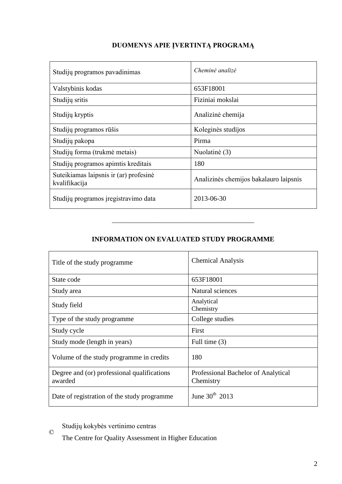| Studijų programos pavadinimas                           | Cheminė analizė                        |
|---------------------------------------------------------|----------------------------------------|
| Valstybinis kodas                                       | 653F18001                              |
| Studijų sritis                                          | Fiziniai mokslai                       |
| Studijų kryptis                                         | Analizinė chemija                      |
| Studijų programos rūšis                                 | Koleginės studijos                     |
| Studijų pakopa                                          | Pirma                                  |
| Studijų forma (trukmė metais)                           | Nuolatinė (3)                          |
| Studijų programos apimtis kreditais                     | 180                                    |
| Suteikiamas laipsnis ir (ar) profesinė<br>kvalifikacija | Analizinės chemijos bakalauro laipsnis |
| Studijų programos įregistravimo data                    | 2013-06-30                             |

## **DUOMENYS APIE ĮVERTINTĄ PROGRAMĄ**

### **INFORMATION ON EVALUATED STUDY PROGRAMME**

–––––––––––––––––––––––––––––––

| Title of the study programme                           | <b>Chemical Analysis</b>                         |
|--------------------------------------------------------|--------------------------------------------------|
| State code                                             | 653F18001                                        |
| Study area                                             | Natural sciences                                 |
| Study field                                            | Analytical<br>Chemistry                          |
| Type of the study programme                            | College studies                                  |
| Study cycle                                            | First                                            |
| Study mode (length in years)                           | Full time (3)                                    |
| Volume of the study programme in credits               | 180                                              |
| Degree and (or) professional qualifications<br>awarded | Professional Bachelor of Analytical<br>Chemistry |
| Date of registration of the study programme            | June $30^{th}$ 2013                              |

© Studijų kokybės vertinimo centras

The Centre for Quality Assessment in Higher Education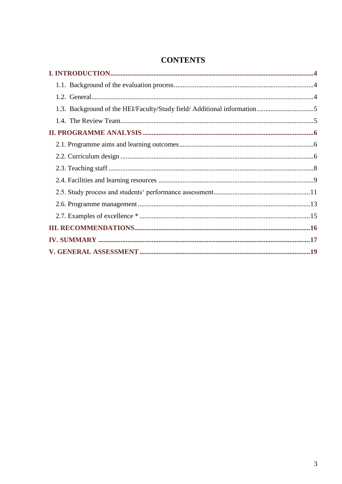| 1.3. Background of the HEI/Faculty/Study field/ Additional information5 |  |
|-------------------------------------------------------------------------|--|
|                                                                         |  |
|                                                                         |  |
|                                                                         |  |
|                                                                         |  |
|                                                                         |  |
|                                                                         |  |
|                                                                         |  |
|                                                                         |  |
|                                                                         |  |
|                                                                         |  |
|                                                                         |  |
|                                                                         |  |

## **CONTENTS**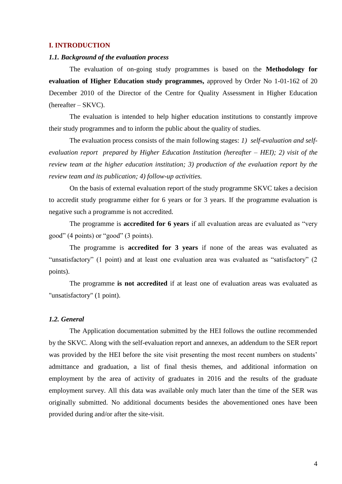#### <span id="page-3-0"></span>**I. INTRODUCTION**

#### <span id="page-3-1"></span>*1.1. Background of the evaluation process*

The evaluation of on-going study programmes is based on the **Methodology for evaluation of Higher Education study programmes,** approved by Order No 1-01-162 of 20 December 2010 of the Director of the Centre for Quality Assessment in Higher Education (hereafter – SKVC).

The evaluation is intended to help higher education institutions to constantly improve their study programmes and to inform the public about the quality of studies.

The evaluation process consists of the main following stages: *1) self-evaluation and selfevaluation report prepared by Higher Education Institution (hereafter – HEI); 2) visit of the review team at the higher education institution; 3) production of the evaluation report by the review team and its publication; 4) follow-up activities.* 

On the basis of external evaluation report of the study programme SKVC takes a decision to accredit study programme either for 6 years or for 3 years. If the programme evaluation is negative such a programme is not accredited.

The programme is **accredited for 6 years** if all evaluation areas are evaluated as "very good" (4 points) or "good" (3 points).

The programme is **accredited for 3 years** if none of the areas was evaluated as "unsatisfactory" (1 point) and at least one evaluation area was evaluated as "satisfactory" (2 points).

The programme **is not accredited** if at least one of evaluation areas was evaluated as "unsatisfactory" (1 point).

#### <span id="page-3-2"></span>*1.2. General*

The Application documentation submitted by the HEI follows the outline recommended by the SKVC. Along with the self-evaluation report and annexes, an addendum to the SER report was provided by the HEI before the site visit presenting the most recent numbers on students' admittance and graduation, a list of final thesis themes, and additional information on employment by the area of activity of graduates in 2016 and the results of the graduate employment survey. All this data was available only much later than the time of the SER was originally submitted. No additional documents besides the abovementioned ones have been provided during and/or after the site-visit.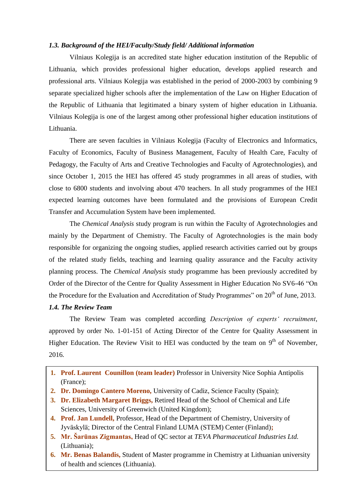#### <span id="page-4-0"></span>*1.3. Background of the HEI/Faculty/Study field/ Additional information*

Vilniaus Kolegija is an accredited state higher education institution of the Republic of Lithuania, which provides professional higher education, develops applied research and professional arts. Vilniaus Kolegija was established in the period of 2000-2003 by combining 9 separate specialized higher schools after the implementation of the Law on Higher Education of the Republic of Lithuania that legitimated a binary system of higher education in Lithuania. Vilniaus Kolegija is one of the largest among other professional higher education institutions of Lithuania.

There are seven faculties in Vilniaus Kolegija (Faculty of Electronics and Informatics, Faculty of Economics, Faculty of Business Management, Faculty of Health Care, Faculty of Pedagogy, the Faculty of Arts and Creative Technologies and Faculty of Agrotechnologies), and since October 1, 2015 the HEI has offered 45 study programmes in all areas of studies, with close to 6800 students and involving about 470 teachers. In all study programmes of the HEI expected learning outcomes have been formulated and the provisions of European Credit Transfer and Accumulation System have been implemented.

The *Chemical Analysis* study program is run within the Faculty of Agrotechnologies and mainly by the Department of Chemistry. The Faculty of Agrotechnologies is the main body responsible for organizing the ongoing studies, applied research activities carried out by groups of the related study fields, teaching and learning quality assurance and the Faculty activity planning process. The *Chemical Analysis* study programme has been previously accredited by Order of the Director of the Centre for Quality Assessment in Higher Education No SV6-46 "On the Procedure for the Evaluation and Accreditation of Study Programmes" on  $20<sup>th</sup>$  of June, 2013.

#### <span id="page-4-1"></span>*1.4. The Review Team*

The Review Team was completed according *Description of experts' recruitment*, approved by order No. 1-01-151 of Acting Director of the Centre for Quality Assessment in Higher Education. The Review Visit to HEI was conducted by the team on  $9<sup>th</sup>$  of November, 2016*.*

- **1. Prof. Laurent Counillon (team leader)** Professor in University Nice Sophia Antipolis (France);
- **2. Dr. Domingo Cantero Moreno,** University of Cadiz, Science Faculty (Spain);
- **3. Dr. Elizabeth Margaret Briggs,** Retired Head of the School of Chemical and Life Sciences, University of Greenwich (United Kingdom);
- **4. Prof. Jan Lundell,** Professor, Head of the Department of Chemistry, University of Jyväskylä; Director of the Central Finland LUMA (STEM) Center (Finland)**;**
- **5. Mr. Šarūnas Zigmantas,** Head of QC sector at *TEVA Pharmaceutical Industries Ltd.* (Lithuania);
- **6. Mr. Benas Balandis,** Student of Master programme in Chemistry at Lithuanian university of health and sciences (Lithuania).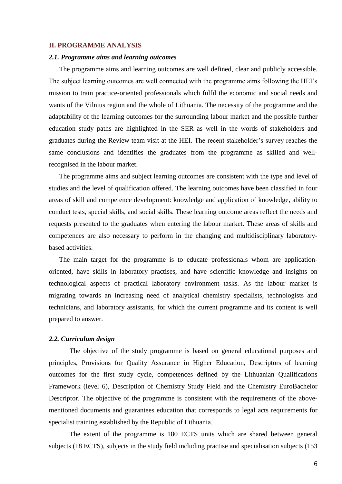#### <span id="page-5-0"></span>**II. PROGRAMME ANALYSIS**

#### <span id="page-5-1"></span>*2.1. Programme aims and learning outcomes*

The programme aims and learning outcomes are well defined, clear and publicly accessible. The subject learning outcomes are well connected with the programme aims following the HEI's mission to train practice-oriented professionals which fulfil the economic and social needs and wants of the Vilnius region and the whole of Lithuania. The necessity of the programme and the adaptability of the learning outcomes for the surrounding labour market and the possible further education study paths are highlighted in the SER as well in the words of stakeholders and graduates during the Review team visit at the HEI. The recent stakeholder's survey reaches the same conclusions and identifies the graduates from the programme as skilled and wellrecognised in the labour market.

The programme aims and subject learning outcomes are consistent with the type and level of studies and the level of qualification offered. The learning outcomes have been classified in four areas of skill and competence development: knowledge and application of knowledge, ability to conduct tests, special skills, and social skills. These learning outcome areas reflect the needs and requests presented to the graduates when entering the labour market. These areas of skills and competences are also necessary to perform in the changing and multidisciplinary laboratorybased activities.

The main target for the programme is to educate professionals whom are applicationoriented, have skills in laboratory practises, and have scientific knowledge and insights on technological aspects of practical laboratory environment tasks. As the labour market is migrating towards an increasing need of analytical chemistry specialists, technologists and technicians, and laboratory assistants, for which the current programme and its content is well prepared to answer.

#### <span id="page-5-2"></span>*2.2. Curriculum design*

The objective of the study programme is based on general educational purposes and principles, Provisions for Quality Assurance in Higher Education, Descriptors of learning outcomes for the first study cycle, competences defined by the Lithuanian Qualifications Framework (level 6), Description of Chemistry Study Field and the Chemistry EuroBachelor Descriptor. The objective of the programme is consistent with the requirements of the abovementioned documents and guarantees education that corresponds to legal acts requirements for specialist training established by the Republic of Lithuania.

The extent of the programme is 180 ECTS units which are shared between general subjects (18 ECTS), subjects in the study field including practise and specialisation subjects (153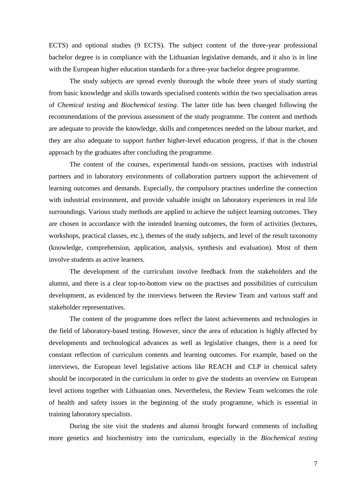ECTS) and optional studies (9 ECTS). The subject content of the three-year professional bachelor degree is in compliance with the Lithuanian legislative demands, and it also is in line with the European higher education standards for a three-year bachelor degree programme.

The study subjects are spread evenly thorough the whole three years of study starting from basic knowledge and skills towards specialised contents within the two specialisation areas of *Chemical testing* and *Biochemical testing*. The latter title has been changed following the recommendations of the previous assessment of the study programme. The content and methods are adequate to provide the knowledge, skills and competences needed on the labour market, and they are also adequate to support further higher-level education progress, if that is the chosen approach by the graduates after concluding the programme.

The content of the courses, experimental hands-on sessions, practises with industrial partners and in laboratory environments of collaboration partners support the achievement of learning outcomes and demands. Especially, the compulsory practises underline the connection with industrial environment, and provide valuable insight on laboratory experiences in real life surroundings. Various study methods are applied to achieve the subject learning outcomes. They are chosen in accordance with the intended learning outcomes, the form of activities (lectures, workshops, practical classes, etc.), themes of the study subjects, and level of the result taxonomy (knowledge, comprehension, application, analysis, synthesis and evaluation). Most of them involve students as active learners.

The development of the curriculum involve feedback from the stakeholders and the alumni, and there is a clear top-to-bottom view on the practises and possibilities of curriculum development, as evidenced by the interviews between the Review Team and various staff and stakeholder representatives.

The content of the programme does reflect the latest achievements and technologies in the field of laboratory-based testing. However, since the area of education is highly affected by developments and technological advances as well as legislative changes, there is a need for constant reflection of curriculum contents and learning outcomes. For example, based on the interviews, the European level legislative actions like REACH and CLP in chemical safety should be incorporated in the curriculum in order to give the students an overview on European level actions together with Lithuanian ones. Nevertheless, the Review Team welcomes the role of health and safety issues in the beginning of the study programme, which is essential in training laboratory specialists.

During the site visit the students and alumni brought forward comments of including more genetics and biochemistry into the curriculum, especially in the *Biochemical testing*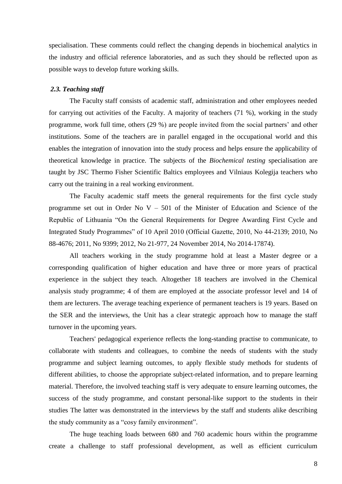specialisation. These comments could reflect the changing depends in biochemical analytics in the industry and official reference laboratories, and as such they should be reflected upon as possible ways to develop future working skills.

#### <span id="page-7-0"></span>*2.3. Teaching staff*

The Faculty staff consists of academic staff, administration and other employees needed for carrying out activities of the Faculty. A majority of teachers (71 %), working in the study programme, work full time, others (29 %) are people invited from the social partners' and other institutions. Some of the teachers are in parallel engaged in the occupational world and this enables the integration of innovation into the study process and helps ensure the applicability of theoretical knowledge in practice. The subjects of the *Biochemical testing* specialisation are taught by JSC Thermo Fisher Scientific Baltics employees and Vilniaus Kolegija teachers who carry out the training in a real working environment.

The Faculty academic staff meets the general requirements for the first cycle study programme set out in Order No  $V - 501$  of the Minister of Education and Science of the Republic of Lithuania "On the General Requirements for Degree Awarding First Cycle and Integrated Study Programmes" of 10 April 2010 (Official Gazette, 2010, No 44-2139; 2010, No 88-4676; 2011, No 9399; 2012, No 21-977, 24 November 2014, No 2014-17874).

All teachers working in the study programme hold at least a Master degree or a corresponding qualification of higher education and have three or more years of practical experience in the subject they teach. Altogether 18 teachers are involved in the Chemical analysis study programme; 4 of them are employed at the associate professor level and 14 of them are lecturers. The average teaching experience of permanent teachers is 19 years. Based on the SER and the interviews, the Unit has a clear strategic approach how to manage the staff turnover in the upcoming years.

Teachers' pedagogical experience reflects the long-standing practise to communicate, to collaborate with students and colleagues, to combine the needs of students with the study programme and subject learning outcomes, to apply flexible study methods for students of different abilities, to choose the appropriate subject-related information, and to prepare learning material. Therefore, the involved teaching staff is very adequate to ensure learning outcomes, the success of the study programme, and constant personal-like support to the students in their studies The latter was demonstrated in the interviews by the staff and students alike describing the study community as a "cosy family environment".

The huge teaching loads between 680 and 760 academic hours within the programme create a challenge to staff professional development, as well as efficient curriculum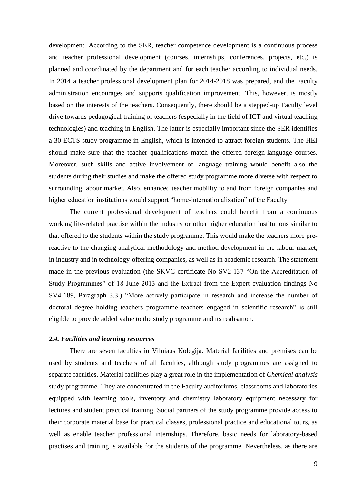development. According to the SER, teacher competence development is a continuous process and teacher professional development (courses, internships, conferences, projects, etc.) is planned and coordinated by the department and for each teacher according to individual needs. In 2014 a teacher professional development plan for 2014-2018 was prepared, and the Faculty administration encourages and supports qualification improvement. This, however, is mostly based on the interests of the teachers. Consequently, there should be a stepped-up Faculty level drive towards pedagogical training of teachers (especially in the field of ICT and virtual teaching technologies) and teaching in English. The latter is especially important since the SER identifies a 30 ECTS study programme in English, which is intended to attract foreign students. The HEI should make sure that the teacher qualifications match the offered foreign-language courses. Moreover, such skills and active involvement of language training would benefit also the students during their studies and make the offered study programme more diverse with respect to surrounding labour market. Also, enhanced teacher mobility to and from foreign companies and higher education institutions would support "home-internationalisation" of the Faculty.

The current professional development of teachers could benefit from a continuous working life-related practise within the industry or other higher education institutions similar to that offered to the students within the study programme. This would make the teachers more prereactive to the changing analytical methodology and method development in the labour market, in industry and in technology-offering companies, as well as in academic research. The statement made in the previous evaluation (the SKVC certificate No SV2-137 "On the Accreditation of Study Programmes" of 18 June 2013 and the Extract from the Expert evaluation findings No SV4-189, Paragraph 3.3.) "More actively participate in research and increase the number of doctoral degree holding teachers programme teachers engaged in scientific research" is still eligible to provide added value to the study programme and its realisation.

#### <span id="page-8-0"></span>*2.4. Facilities and learning resources*

There are seven faculties in Vilniaus Kolegija. Material facilities and premises can be used by students and teachers of all faculties, although study programmes are assigned to separate faculties. Material facilities play a great role in the implementation of *Chemical analysis* study programme. They are concentrated in the Faculty auditoriums, classrooms and laboratories equipped with learning tools, inventory and chemistry laboratory equipment necessary for lectures and student practical training. Social partners of the study programme provide access to their corporate material base for practical classes, professional practice and educational tours, as well as enable teacher professional internships. Therefore, basic needs for laboratory-based practises and training is available for the students of the programme. Nevertheless, as there are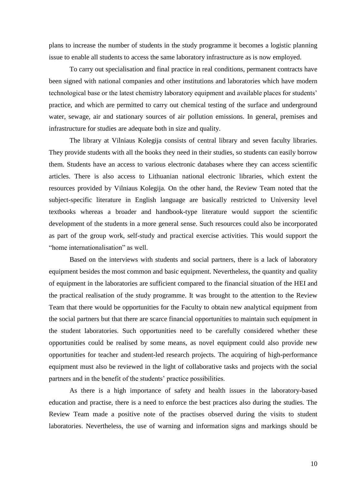plans to increase the number of students in the study programme it becomes a logistic planning issue to enable all students to access the same laboratory infrastructure as is now employed.

To carry out specialisation and final practice in real conditions, permanent contracts have been signed with national companies and other institutions and laboratories which have modern technological base or the latest chemistry laboratory equipment and available places for students' practice, and which are permitted to carry out chemical testing of the surface and underground water, sewage, air and stationary sources of air pollution emissions. In general, premises and infrastructure for studies are adequate both in size and quality.

The library at Vilniaus Kolegija consists of central library and seven faculty libraries. They provide students with all the books they need in their studies, so students can easily borrow them. Students have an access to various electronic databases where they can access scientific articles. There is also access to Lithuanian national electronic libraries, which extent the resources provided by Vilniaus Kolegija. On the other hand, the Review Team noted that the subject-specific literature in English language are basically restricted to University level textbooks whereas a broader and handbook-type literature would support the scientific development of the students in a more general sense. Such resources could also be incorporated as part of the group work, self-study and practical exercise activities. This would support the "home internationalisation" as well.

Based on the interviews with students and social partners, there is a lack of laboratory equipment besides the most common and basic equipment. Nevertheless, the quantity and quality of equipment in the laboratories are sufficient compared to the financial situation of the HEI and the practical realisation of the study programme. It was brought to the attention to the Review Team that there would be opportunities for the Faculty to obtain new analytical equipment from the social partners but that there are scarce financial opportunities to maintain such equipment in the student laboratories. Such opportunities need to be carefully considered whether these opportunities could be realised by some means, as novel equipment could also provide new opportunities for teacher and student-led research projects. The acquiring of high-performance equipment must also be reviewed in the light of collaborative tasks and projects with the social partners and in the benefit of the students' practice possibilities.

As there is a high importance of safety and health issues in the laboratory-based education and practise, there is a need to enforce the best practices also during the studies. The Review Team made a positive note of the practises observed during the visits to student laboratories. Nevertheless, the use of warning and information signs and markings should be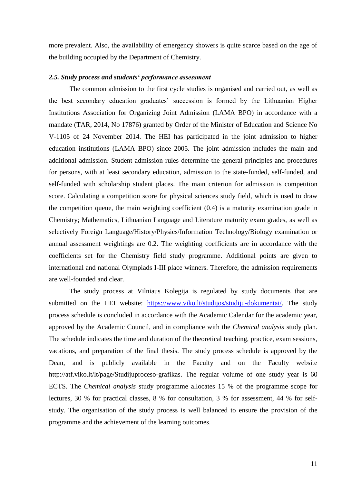more prevalent. Also, the availability of emergency showers is quite scarce based on the age of the building occupied by the Department of Chemistry.

#### <span id="page-10-0"></span>*2.5. Study process and students' performance assessment*

The common admission to the first cycle studies is organised and carried out, as well as the best secondary education graduates' succession is formed by the Lithuanian Higher Institutions Association for Organizing Joint Admission (LAMA BPO) in accordance with a mandate (TAR, 2014, No 17876) granted by Order of the Minister of Education and Science No V-1105 of 24 November 2014. The HEI has participated in the joint admission to higher education institutions (LAMA BPO) since 2005. The joint admission includes the main and additional admission. Student admission rules determine the general principles and procedures for persons, with at least secondary education, admission to the state-funded, self-funded, and self-funded with scholarship student places. The main criterion for admission is competition score. Calculating a competition score for physical sciences study field, which is used to draw the competition queue, the main weighting coefficient (0.4) is a maturity examination grade in Chemistry; Mathematics, Lithuanian Language and Literature maturity exam grades, as well as selectively Foreign Language/History/Physics/Information Technology/Biology examination or annual assessment weightings are 0.2. The weighting coefficients are in accordance with the coefficients set for the Chemistry field study programme. Additional points are given to international and national Olympiads I-III place winners. Therefore, the admission requirements are well-founded and clear.

The study process at Vilniaus Kolegija is regulated by study documents that are submitted on the HEI website: [https://www.viko.lt/studijos/studiju-dokumentai/.](https://www.viko.lt/studijos/studiju-dokumentai/) The study process schedule is concluded in accordance with the Academic Calendar for the academic year, approved by the Academic Council, and in compliance with the *Chemical analysis* study plan. The schedule indicates the time and duration of the theoretical teaching, practice, exam sessions, vacations, and preparation of the final thesis. The study process schedule is approved by the Dean, and is publicly available in the Faculty and on the Faculty website http://atf.viko.lt/lt/page/Studijuproceso-grafikas. The regular volume of one study year is 60 ECTS. The *Chemical analysis* study programme allocates 15 % of the programme scope for lectures, 30 % for practical classes, 8 % for consultation, 3 % for assessment, 44 % for selfstudy. The organisation of the study process is well balanced to ensure the provision of the programme and the achievement of the learning outcomes.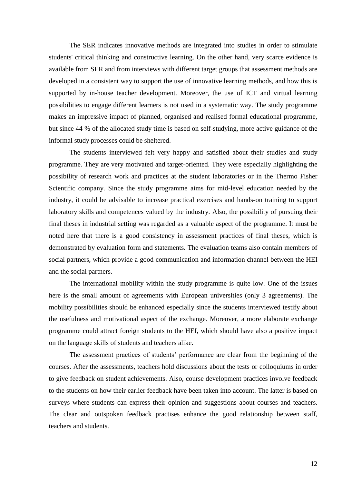The SER indicates innovative methods are integrated into studies in order to stimulate students' critical thinking and constructive learning. On the other hand, very scarce evidence is available from SER and from interviews with different target groups that assessment methods are developed in a consistent way to support the use of innovative learning methods, and how this is supported by in-house teacher development. Moreover, the use of ICT and virtual learning possibilities to engage different learners is not used in a systematic way. The study programme makes an impressive impact of planned, organised and realised formal educational programme, but since 44 % of the allocated study time is based on self-studying, more active guidance of the informal study processes could be sheltered.

The students interviewed felt very happy and satisfied about their studies and study programme. They are very motivated and target-oriented. They were especially highlighting the possibility of research work and practices at the student laboratories or in the Thermo Fisher Scientific company. Since the study programme aims for mid-level education needed by the industry, it could be advisable to increase practical exercises and hands-on training to support laboratory skills and competences valued by the industry. Also, the possibility of pursuing their final theses in industrial setting was regarded as a valuable aspect of the programme. It must be noted here that there is a good consistency in assessment practices of final theses, which is demonstrated by evaluation form and statements. The evaluation teams also contain members of social partners, which provide a good communication and information channel between the HEI and the social partners.

The international mobility within the study programme is quite low. One of the issues here is the small amount of agreements with European universities (only 3 agreements). The mobility possibilities should be enhanced especially since the students interviewed testify about the usefulness and motivational aspect of the exchange. Moreover, a more elaborate exchange programme could attract foreign students to the HEI, which should have also a positive impact on the language skills of students and teachers alike.

The assessment practices of students' performance are clear from the beginning of the courses. After the assessments, teachers hold discussions about the tests or colloquiums in order to give feedback on student achievements. Also, course development practices involve feedback to the students on how their earlier feedback have been taken into account. The latter is based on surveys where students can express their opinion and suggestions about courses and teachers. The clear and outspoken feedback practises enhance the good relationship between staff, teachers and students.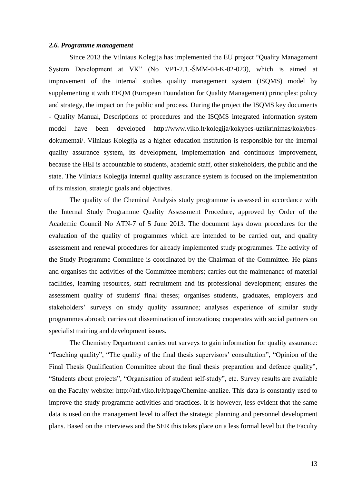#### <span id="page-12-0"></span>*2.6. Programme management*

Since 2013 the Vilniaus Kolegija has implemented the EU project "Quality Management System Development at VK" (No VP1-2.1.-ŠMM-04-K-02-023), which is aimed at improvement of the internal studies quality management system (ISQMS) model by supplementing it with EFQM (European Foundation for Quality Management) principles: policy and strategy, the impact on the public and process. During the project the ISQMS key documents - Quality Manual, Descriptions of procedures and the ISQMS integrated information system model have been developed http://www.viko.lt/kolegija/kokybes-uztikrinimas/kokybesdokumentai/. Vilniaus Kolegija as a higher education institution is responsible for the internal quality assurance system, its development, implementation and continuous improvement, because the HEI is accountable to students, academic staff, other stakeholders, the public and the state. The Vilniaus Kolegija internal quality assurance system is focused on the implementation of its mission, strategic goals and objectives.

The quality of the Chemical Analysis study programme is assessed in accordance with the Internal Study Programme Quality Assessment Procedure, approved by Order of the Academic Council No ATN-7 of 5 June 2013. The document lays down procedures for the evaluation of the quality of programmes which are intended to be carried out, and quality assessment and renewal procedures for already implemented study programmes. The activity of the Study Programme Committee is coordinated by the Chairman of the Committee. He plans and organises the activities of the Committee members; carries out the maintenance of material facilities, learning resources, staff recruitment and its professional development; ensures the assessment quality of students' final theses; organises students, graduates, employers and stakeholders' surveys on study quality assurance; analyses experience of similar study programmes abroad; carries out dissemination of innovations; cooperates with social partners on specialist training and development issues.

The Chemistry Department carries out surveys to gain information for quality assurance: "Teaching quality", "The quality of the final thesis supervisors' consultation", "Opinion of the Final Thesis Qualification Committee about the final thesis preparation and defence quality", "Students about projects", "Organisation of student self-study", etc. Survey results are available on the Faculty website: http://atf.viko.lt/lt/page/Chemine-analize. This data is constantly used to improve the study programme activities and practices. It is however, less evident that the same data is used on the management level to affect the strategic planning and personnel development plans. Based on the interviews and the SER this takes place on a less formal level but the Faculty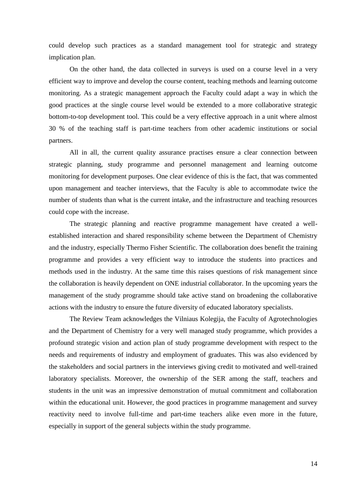could develop such practices as a standard management tool for strategic and strategy implication plan.

On the other hand, the data collected in surveys is used on a course level in a very efficient way to improve and develop the course content, teaching methods and learning outcome monitoring. As a strategic management approach the Faculty could adapt a way in which the good practices at the single course level would be extended to a more collaborative strategic bottom-to-top development tool. This could be a very effective approach in a unit where almost 30 % of the teaching staff is part-time teachers from other academic institutions or social partners.

All in all, the current quality assurance practises ensure a clear connection between strategic planning, study programme and personnel management and learning outcome monitoring for development purposes. One clear evidence of this is the fact, that was commented upon management and teacher interviews, that the Faculty is able to accommodate twice the number of students than what is the current intake, and the infrastructure and teaching resources could cope with the increase.

The strategic planning and reactive programme management have created a wellestablished interaction and shared responsibility scheme between the Department of Chemistry and the industry, especially Thermo Fisher Scientific. The collaboration does benefit the training programme and provides a very efficient way to introduce the students into practices and methods used in the industry. At the same time this raises questions of risk management since the collaboration is heavily dependent on ONE industrial collaborator. In the upcoming years the management of the study programme should take active stand on broadening the collaborative actions with the industry to ensure the future diversity of educated laboratory specialists.

The Review Team acknowledges the Vilniaus Kolegija, the Faculty of Agrotechnologies and the Department of Chemistry for a very well managed study programme, which provides a profound strategic vision and action plan of study programme development with respect to the needs and requirements of industry and employment of graduates. This was also evidenced by the stakeholders and social partners in the interviews giving credit to motivated and well-trained laboratory specialists. Moreover, the ownership of the SER among the staff, teachers and students in the unit was an impressive demonstration of mutual commitment and collaboration within the educational unit. However, the good practices in programme management and survey reactivity need to involve full-time and part-time teachers alike even more in the future, especially in support of the general subjects within the study programme.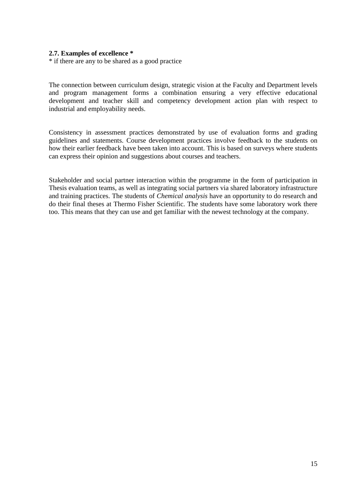#### <span id="page-14-0"></span>**2.7. Examples of excellence \***

\* if there are any to be shared as a good practice

The connection between curriculum design, strategic vision at the Faculty and Department levels and program management forms a combination ensuring a very effective educational development and teacher skill and competency development action plan with respect to industrial and employability needs.

Consistency in assessment practices demonstrated by use of evaluation forms and grading guidelines and statements. Course development practices involve feedback to the students on how their earlier feedback have been taken into account. This is based on surveys where students can express their opinion and suggestions about courses and teachers.

Stakeholder and social partner interaction within the programme in the form of participation in Thesis evaluation teams, as well as integrating social partners via shared laboratory infrastructure and training practices. The students of *Chemical analysis* have an opportunity to do research and do their final theses at Thermo Fisher Scientific. The students have some laboratory work there too. This means that they can use and get familiar with the newest technology at the company.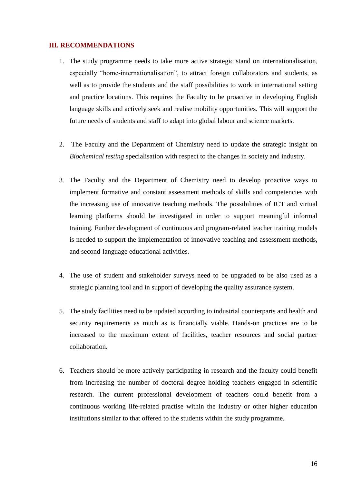#### <span id="page-15-0"></span>**III. RECOMMENDATIONS**

- 1. The study programme needs to take more active strategic stand on internationalisation, especially "home-internationalisation", to attract foreign collaborators and students, as well as to provide the students and the staff possibilities to work in international setting and practice locations. This requires the Faculty to be proactive in developing English language skills and actively seek and realise mobility opportunities. This will support the future needs of students and staff to adapt into global labour and science markets.
- 2. The Faculty and the Department of Chemistry need to update the strategic insight on *Biochemical testing* specialisation with respect to the changes in society and industry.
- 3. The Faculty and the Department of Chemistry need to develop proactive ways to implement formative and constant assessment methods of skills and competencies with the increasing use of innovative teaching methods. The possibilities of ICT and virtual learning platforms should be investigated in order to support meaningful informal training. Further development of continuous and program-related teacher training models is needed to support the implementation of innovative teaching and assessment methods, and second-language educational activities.
- 4. The use of student and stakeholder surveys need to be upgraded to be also used as a strategic planning tool and in support of developing the quality assurance system.
- 5. The study facilities need to be updated according to industrial counterparts and health and security requirements as much as is financially viable. Hands-on practices are to be increased to the maximum extent of facilities, teacher resources and social partner collaboration.
- 6. Teachers should be more actively participating in research and the faculty could benefit from increasing the number of doctoral degree holding teachers engaged in scientific research. The current professional development of teachers could benefit from a continuous working life-related practise within the industry or other higher education institutions similar to that offered to the students within the study programme.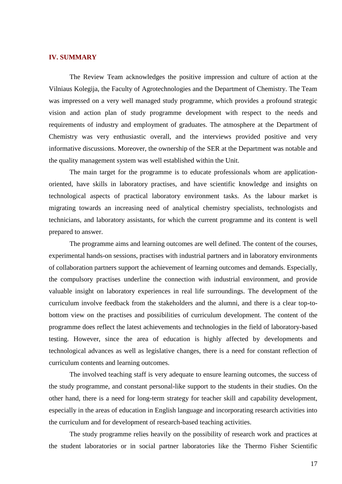#### <span id="page-16-0"></span>**IV. SUMMARY**

The Review Team acknowledges the positive impression and culture of action at the Vilniaus Kolegija, the Faculty of Agrotechnologies and the Department of Chemistry. The Team was impressed on a very well managed study programme, which provides a profound strategic vision and action plan of study programme development with respect to the needs and requirements of industry and employment of graduates. The atmosphere at the Department of Chemistry was very enthusiastic overall, and the interviews provided positive and very informative discussions. Moreover, the ownership of the SER at the Department was notable and the quality management system was well established within the Unit.

The main target for the programme is to educate professionals whom are applicationoriented, have skills in laboratory practises, and have scientific knowledge and insights on technological aspects of practical laboratory environment tasks. As the labour market is migrating towards an increasing need of analytical chemistry specialists, technologists and technicians, and laboratory assistants, for which the current programme and its content is well prepared to answer.

The programme aims and learning outcomes are well defined. The content of the courses, experimental hands-on sessions, practises with industrial partners and in laboratory environments of collaboration partners support the achievement of learning outcomes and demands. Especially, the compulsory practises underline the connection with industrial environment, and provide valuable insight on laboratory experiences in real life surroundings. The development of the curriculum involve feedback from the stakeholders and the alumni, and there is a clear top-tobottom view on the practises and possibilities of curriculum development. The content of the programme does reflect the latest achievements and technologies in the field of laboratory-based testing. However, since the area of education is highly affected by developments and technological advances as well as legislative changes, there is a need for constant reflection of curriculum contents and learning outcomes.

The involved teaching staff is very adequate to ensure learning outcomes, the success of the study programme, and constant personal-like support to the students in their studies. On the other hand, there is a need for long-term strategy for teacher skill and capability development, especially in the areas of education in English language and incorporating research activities into the curriculum and for development of research-based teaching activities.

The study programme relies heavily on the possibility of research work and practices at the student laboratories or in social partner laboratories like the Thermo Fisher Scientific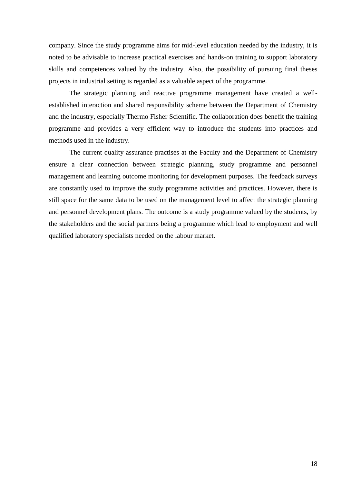company. Since the study programme aims for mid-level education needed by the industry, it is noted to be advisable to increase practical exercises and hands-on training to support laboratory skills and competences valued by the industry. Also, the possibility of pursuing final theses projects in industrial setting is regarded as a valuable aspect of the programme.

The strategic planning and reactive programme management have created a wellestablished interaction and shared responsibility scheme between the Department of Chemistry and the industry, especially Thermo Fisher Scientific. The collaboration does benefit the training programme and provides a very efficient way to introduce the students into practices and methods used in the industry.

The current quality assurance practises at the Faculty and the Department of Chemistry ensure a clear connection between strategic planning, study programme and personnel management and learning outcome monitoring for development purposes. The feedback surveys are constantly used to improve the study programme activities and practices. However, there is still space for the same data to be used on the management level to affect the strategic planning and personnel development plans. The outcome is a study programme valued by the students, by the stakeholders and the social partners being a programme which lead to employment and well qualified laboratory specialists needed on the labour market.